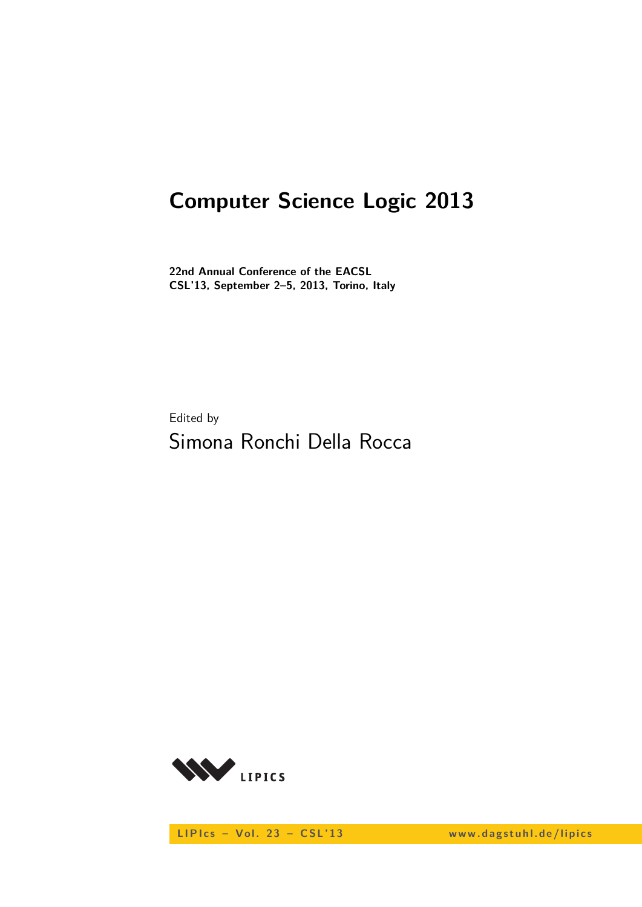# **Computer Science Logic 2013**

**22nd Annual Conference of the EACSL CSL'13, September 2–5, 2013, Torino, Italy**

Edited by Simona Ronchi Della Rocca



LIPIcs - Vol. 23 - CSL'13 www.dagstuhl.de/lipics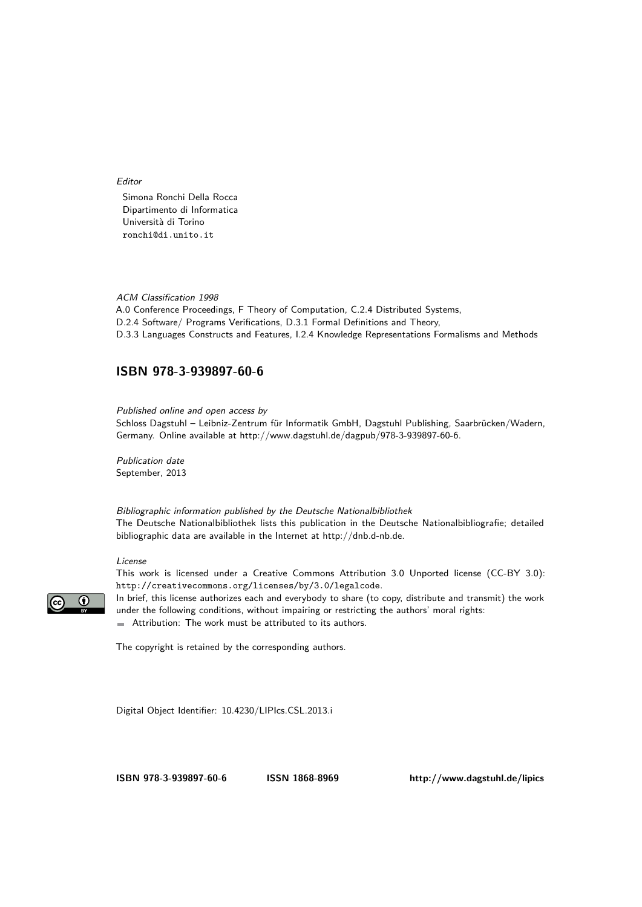Editor

Simona Ronchi Della Rocca Dipartimento di Informatica Università di Torino ronchi@di.unito.it

#### ACM Classification 1998

A.0 Conference Proceedings, F Theory of Computation, C.2.4 Distributed Systems, D.2.4 Software/ Programs Verifications, D.3.1 Formal Definitions and Theory, D.3.3 Languages Constructs and Features, I.2.4 Knowledge Representations Formalisms and Methods

#### **[ISBN 978-3-939897-60-6](http://www.dagstuhl.de/dagpub/978-3-939897-60-6)**

Published online and open access by Schloss Dagstuhl – Leibniz-Zentrum für Informatik GmbH, Dagstuhl Publishing, Saarbrücken/Wadern, Germany. Online available at [http://www.dagstuhl.de/dagpub/978-3-939897-60-6.](http://www.dagstuhl.de/dagpub/978-3-939897-60-6)

Publication date September, 2013

Bibliographic information published by the Deutsche Nationalbibliothek The Deutsche Nationalbibliothek lists this publication in the Deutsche Nationalbibliografie; detailed bibliographic data are available in the Internet at [http://dnb.d-nb.de.](http://dnb.d-nb.de)

#### License

This work is licensed under a Creative Commons Attribution 3.0 Unported license (CC-BY 3.0): http://creativecommons.org/licenses/by/3.0/legalcode.



In brief, this license authorizes each and everybody to share (to copy, distribute and transmit) the work under the following conditions, without impairing or restricting the authors' moral rights: Attribution: The work must be attributed to its authors.

The copyright is retained by the corresponding authors.

Digital Object Identifier: [10.4230/LIPIcs.CSL.2013.i](http://dx.doi.org/10.4230/LIPIcs.CSL.2013.i)

**[ISBN 978-3-939897-60-6](http://www.dagstuhl.de/dagpub/978-3-939897-60-6) [ISSN 1868-8969](http://drops.dagstuhl.de/lipics)<http://www.dagstuhl.de/lipics>**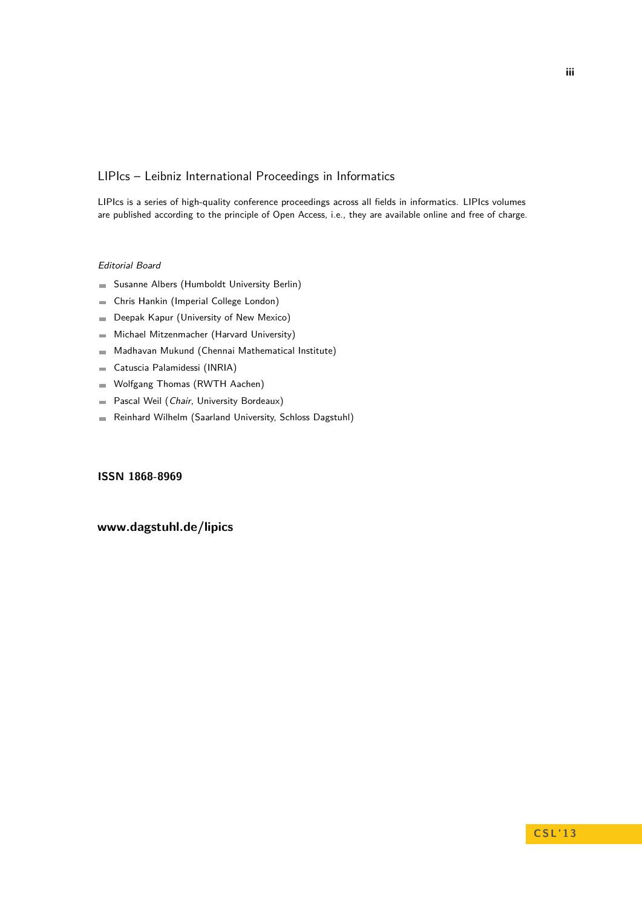#### LIPIcs – Leibniz International Proceedings in Informatics

LIPIcs is a series of high-quality conference proceedings across all fields in informatics. LIPIcs volumes are published according to the principle of Open Access, i.e., they are available online and free of charge.

#### Editorial Board

- Susanne Albers (Humboldt University Berlin)
- Chris Hankin (Imperial College London)  $\overline{\phantom{a}}$
- Deepak Kapur (University of New Mexico)  $\blacksquare$
- Michael Mitzenmacher (Harvard University)  $\equiv$
- Madhavan Mukund (Chennai Mathematical Institute)  $\sim$
- Catuscia Palamidessi (INRIA)  $\blacksquare$
- Wolfgang Thomas (RWTH Aachen)  $\blacksquare$
- Pascal Weil (Chair, University Bordeaux)  $\overline{\phantom{a}}$
- Reinhard Wilhelm (Saarland University, Schloss Dagstuhl)  $\sim$

#### **[ISSN 1868-8969](http://drops.dagstuhl.de/lipics)**

#### **[www.dagstuhl.de/lipics](http://www.dagstuhl.de/lipics)**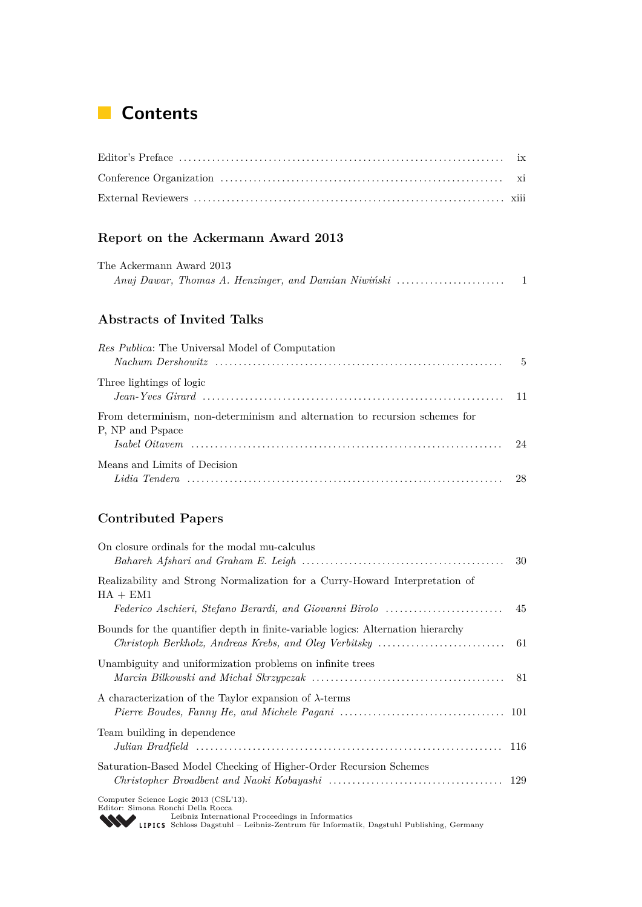## **Contents**

### **Report on the Ackermann Award 2013**

| The Ackermann Award 2013 |  |  |  |
|--------------------------|--|--|--|
|                          |  |  |  |

### **Abstracts of Invited Talks**

| Res Publica: The Universal Model of Computation                            |  |
|----------------------------------------------------------------------------|--|
| Three lightings of logic                                                   |  |
|                                                                            |  |
| From determinism, non-determinism and alternation to recursion schemes for |  |
| P, NP and Pspace                                                           |  |
|                                                                            |  |
| Means and Limits of Decision                                               |  |
|                                                                            |  |

### **Contributed Papers**

| On closure ordinals for the modal mu-calculus<br>Bahareh Afshari and Graham E. Leigh $\ldots \ldots \ldots \ldots \ldots \ldots \ldots \ldots \ldots \ldots \ldots \ldots$ 30                                  |     |
|----------------------------------------------------------------------------------------------------------------------------------------------------------------------------------------------------------------|-----|
| Realizability and Strong Normalization for a Curry-Howard Interpretation of<br>$HA + EM1$                                                                                                                      |     |
| Federico Aschieri, Stefano Berardi, and Giovanni Birolo                                                                                                                                                        | -45 |
| Bounds for the quantifier depth in finite-variable logics: Alternation hierarchy                                                                                                                               |     |
| Unambiguity and uniformization problems on infinite trees                                                                                                                                                      |     |
| A characterization of the Taylor expansion of $\lambda$ -terms                                                                                                                                                 |     |
| Team building in dependence                                                                                                                                                                                    |     |
| Saturation-Based Model Checking of Higher-Order Recursion Schemes                                                                                                                                              |     |
| Computer Science Logic 2013 (CSL'13).<br>Editor: Simona Ronchi Della Rocca<br>Leibniz International Proceedings in Informatics<br>Leibniz International r rocecumgo in moderatik, Dagstuhl Publishing, Germany |     |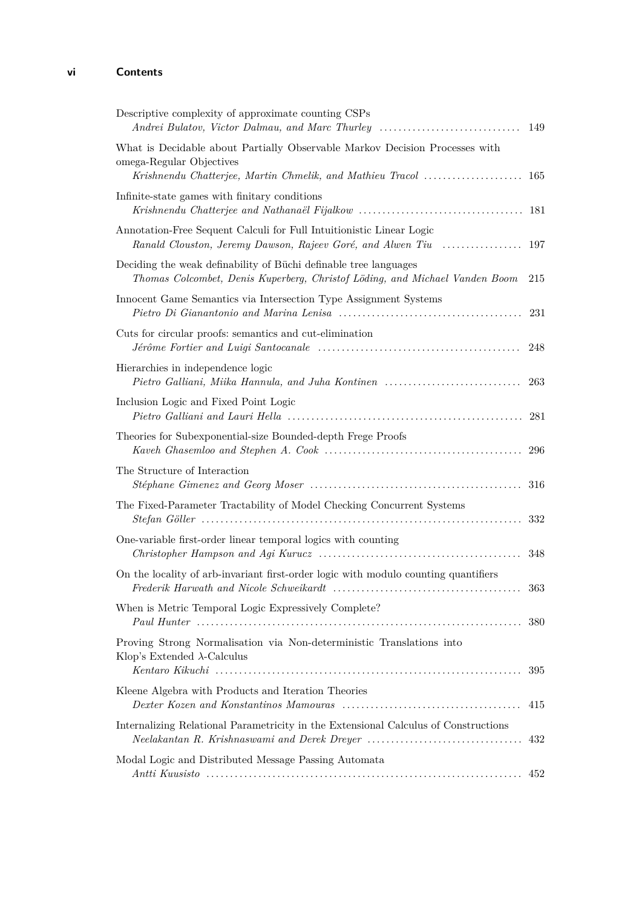### **vi Contents**

| Descriptive complexity of approximate counting CSPs<br>Andrei Bulatov, Victor Dalmau, and Marc Thurley                                          | 149  |
|-------------------------------------------------------------------------------------------------------------------------------------------------|------|
| What is Decidable about Partially Observable Markov Decision Processes with<br>omega-Regular Objectives                                         |      |
| Infinite-state games with finitary conditions                                                                                                   |      |
|                                                                                                                                                 |      |
| Annotation-Free Sequent Calculi for Full Intuitionistic Linear Logic<br>Ranald Clouston, Jeremy Dawson, Rajeev Goré, and Alwen Tiu              | 197  |
| Deciding the weak definability of Büchi definable tree languages<br>Thomas Colcombet, Denis Kuperberg, Christof Löding, and Michael Vanden Boom | 215  |
| Innocent Game Semantics via Intersection Type Assignment Systems                                                                                | 231  |
| Cuts for circular proofs: semantics and cut-elimination                                                                                         | 248  |
| Hierarchies in independence logic<br>Pietro Galliani, Miika Hannula, and Juha Kontinen                                                          | 263  |
| Inclusion Logic and Fixed Point Logic                                                                                                           |      |
| Theories for Subexponential-size Bounded-depth Frege Proofs                                                                                     |      |
| The Structure of Interaction                                                                                                                    | 316  |
| The Fixed-Parameter Tractability of Model Checking Concurrent Systems                                                                           | 332  |
| One-variable first-order linear temporal logics with counting                                                                                   | 348  |
| On the locality of arb-invariant first-order logic with modulo counting quantifiers                                                             | -363 |
| When is Metric Temporal Logic Expressively Complete?                                                                                            | 380  |
| Proving Strong Normalisation via Non-deterministic Translations into<br>Klop's Extended $\lambda$ -Calculus                                     | 395  |
| Kleene Algebra with Products and Iteration Theories                                                                                             | 415  |
| Internalizing Relational Parametricity in the Extensional Calculus of Constructions                                                             | 432  |
| Modal Logic and Distributed Message Passing Automata                                                                                            | 452  |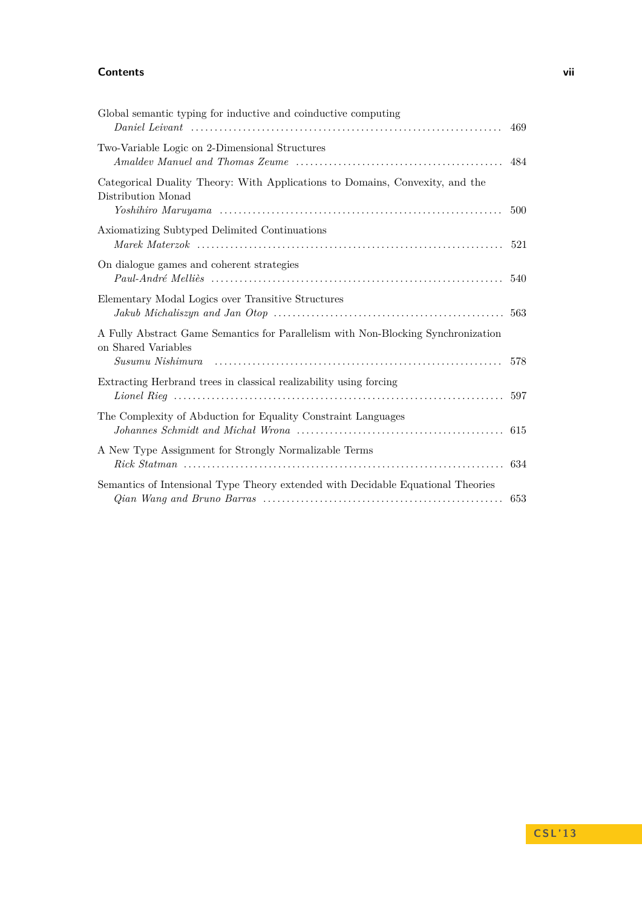#### **Contents vii**

| Global semantic typing for inductive and coinductive computing                                                               | 469 |
|------------------------------------------------------------------------------------------------------------------------------|-----|
| Two-Variable Logic on 2-Dimensional Structures                                                                               | 484 |
| Categorical Duality Theory: With Applications to Domains, Convexity, and the<br>Distribution Monad                           | 500 |
| Axiomatizing Subtyped Delimited Continuations                                                                                | 521 |
| On dialogue games and coherent strategies                                                                                    |     |
| Elementary Modal Logics over Transitive Structures                                                                           |     |
| A Fully Abstract Game Semantics for Parallelism with Non-Blocking Synchronization<br>on Shared Variables<br>Susumu Nishimura | 578 |
| Extracting Herbrand trees in classical realizability using forcing                                                           | 597 |
| The Complexity of Abduction for Equality Constraint Languages                                                                |     |
| A New Type Assignment for Strongly Normalizable Terms                                                                        |     |
| Semantics of Intensional Type Theory extended with Decidable Equational Theories                                             | 653 |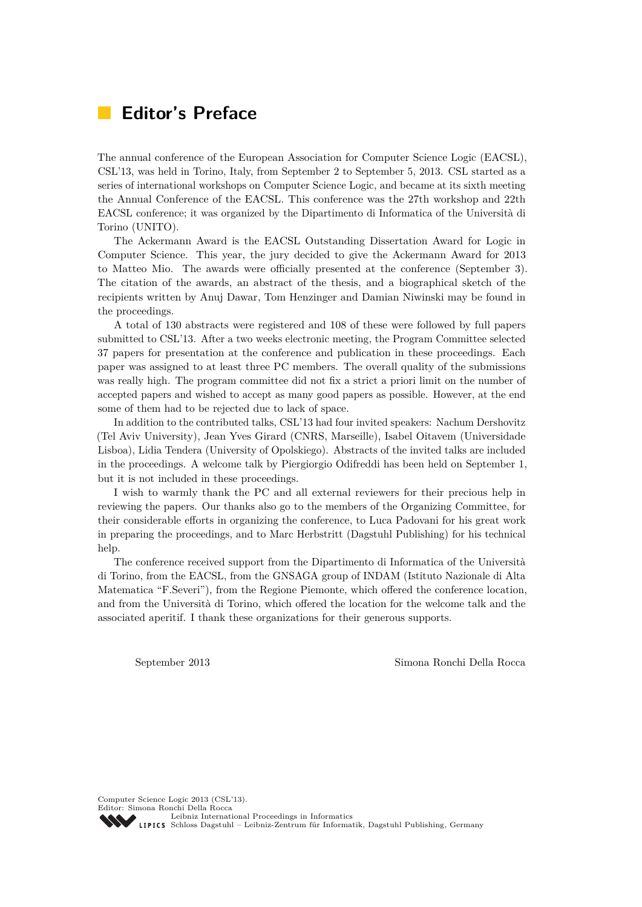## **Editor's Preface**

The annual conference of the European Association for Computer Science Logic (EACSL), CSL'13, was held in Torino, Italy, from September 2 to September 5, 2013. CSL started as a series of international workshops on Computer Science Logic, and became at its sixth meeting the Annual Conference of the EACSL. This conference was the 27th workshop and 22th EACSL conference; it was organized by the Dipartimento di Informatica of the Università di Torino (UNITO).

The Ackermann Award is the EACSL Outstanding Dissertation Award for Logic in Computer Science. This year, the jury decided to give the Ackermann Award for 2013 to Matteo Mio. The awards were officially presented at the conference (September 3). The citation of the awards, an abstract of the thesis, and a biographical sketch of the recipients written by Anuj Dawar, Tom Henzinger and Damian Niwinski may be found in the proceedings.

A total of 130 abstracts were registered and 108 of these were followed by full papers submitted to CSL'13. After a two weeks electronic meeting, the Program Committee selected 37 papers for presentation at the conference and publication in these proceedings. Each paper was assigned to at least three PC members. The overall quality of the submissions was really high. The program committee did not fix a strict a priori limit on the number of accepted papers and wished to accept as many good papers as possible. However, at the end some of them had to be rejected due to lack of space.

In addition to the contributed talks, CSL'13 had four invited speakers: Nachum Dershovitz (Tel Aviv University), Jean Yves Girard (CNRS, Marseille), Isabel Oitavem (Universidade Lisboa), Lidia Tendera (University of Opolskiego). Abstracts of the invited talks are included in the proceedings. A welcome talk by Piergiorgio Odifreddi has been held on September 1, but it is not included in these proceedings.

I wish to warmly thank the PC and all external reviewers for their precious help in reviewing the papers. Our thanks also go to the members of the Organizing Committee, for their considerable efforts in organizing the conference, to Luca Padovani for his great work in preparing the proceedings, and to Marc Herbstritt (Dagstuhl Publishing) for his technical help.

The conference received support from the Dipartimento di Informatica of the Università di Torino, from the EACSL, from the GNSAGA group of INDAM (Istituto Nazionale di Alta Matematica "F.Severi"), from the Regione Piemonte, which offered the conference location, and from the Università di Torino, which offered the location for the welcome talk and the associated aperitif. I thank these organizations for their generous supports.

September 2013 Simona Ronchi Della Rocca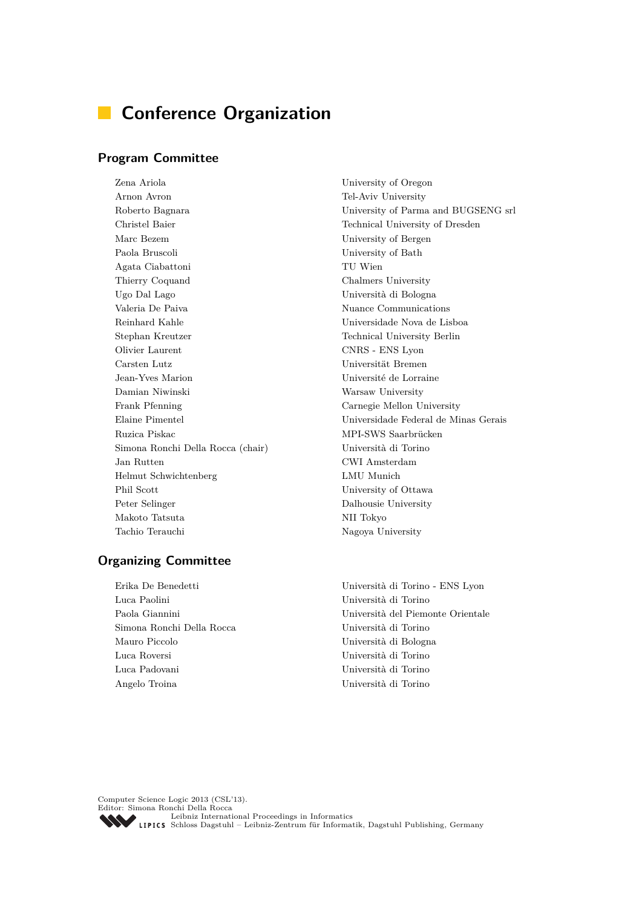## **Conference Organization**

#### **Program Committee**

Zena Ariola University of Oregon Arnon Avron Tel-Aviv University Christel Baier Technical University of Dresden Marc Bezem University of Bergen Paola Bruscoli University of Bath Agata Ciabattoni TU Wien Thierry Coquand Chalmers University Ugo Dal Lago Università di Bologna Valeria De Paiva Nuance Communications Reinhard Kahle Universidade Nova de Lisboa Stephan Kreutzer Technical University Berlin Olivier Laurent CNRS - ENS Lyon Carsten Lutz Universität Bremen Jean-Yves Marion Université de Lorraine Damian Niwinski Warsaw University Frank Pfenning Carnegie Mellon University Ruzica Piskac MPI-SWS Saarbrücken Simona Ronchi Della Rocca (chair) Università di Torino Jan Rutten CWI Amsterdam Helmut Schwichtenberg LMU Munich Phil Scott University of Ottawa Peter Selinger Dalhousie University Makoto Tatsuta NII Tokyo Tachio Terauchi Nagoya University

#### **Organizing Committee**

Erika De Benedetti Università di Torino - ENS Lyon Luca Paolini Università di Torino Simona Ronchi Della Rocca Università di Torino Mauro Piccolo Università di Bologna Luca Roversi Università di Torino Luca Padovani Università di Torino Angelo Troina Università di Torino

Roberto Bagnara University of Parma and BUGSENG srl Elaine Pimentel Universidade Federal de Minas Gerais

Paola Giannini Università del Piemonte Orientale

Computer Science Logic 2013 (CSL'13). Editor: Simona Ronchi Della Rocca [Leibniz International Proceedings in Informatics](http://www.dagstuhl.de/en/publications/lipics/) [Schloss Dagstuhl – Leibniz-Zentrum für Informatik, Dagstuhl Publishing, Germany](http://www.dagstuhl.de/en/about-dagstuhl/)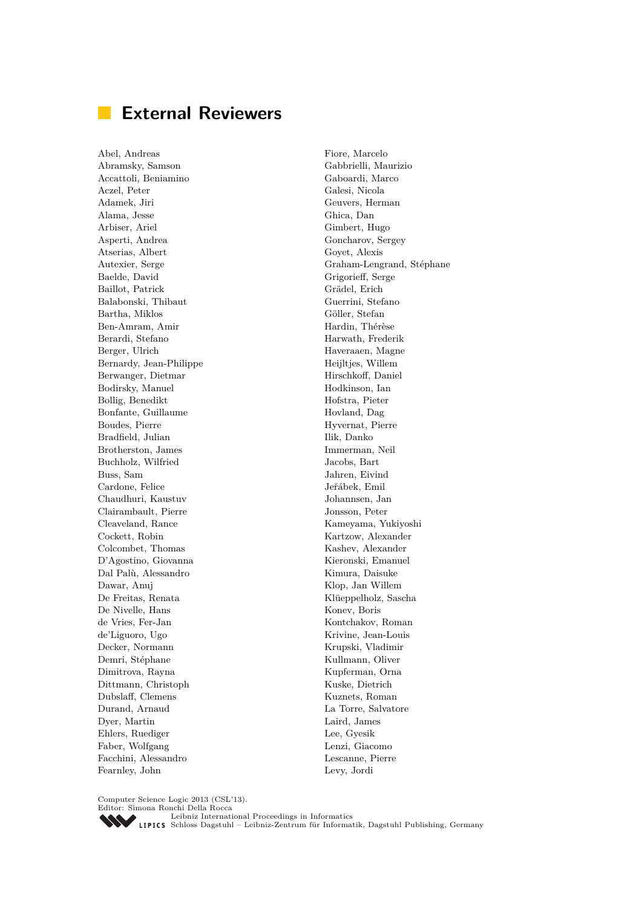## **External Reviewers**

Abel, Andreas Abramsky, Samson Accattoli, Beniamino Aczel, Peter Adamek, Jiri Alama, Jesse Arbiser, Ariel Asperti, Andrea Atserias, Albert Autexier, Serge Baelde, David Baillot, Patrick Balabonski, Thibaut Bartha, Miklos Ben-Amram, Amir Berardi, Stefano Berger, Ulrich Bernardy, Jean-Philippe Berwanger, Dietmar Bodirsky, Manuel Bollig, Benedikt Bonfante, Guillaume Boudes, Pierre Bradfield, Julian Brotherston, James Buchholz, Wilfried Buss, Sam Cardone, Felice Chaudhuri, Kaustuv Clairambault, Pierre Cleaveland, Rance Cockett, Robin Colcombet, Thomas D'Agostino, Giovanna Dal Palù, Alessandro Dawar, Anuj De Freitas, Renata De Nivelle, Hans de Vries, Fer-Jan de'Liguoro, Ugo Decker, Normann Demri, Stéphane Dimitrova, Rayna Dittmann, Christoph Dubslaff, Clemens Durand, Arnaud Dyer, Martin Ehlers, Ruediger Faber, Wolfgang Facchini, Alessandro Fearnley, John

Fiore, Marcelo Gabbrielli, Maurizio Gaboardi, Marco Galesi, Nicola Geuvers, Herman Ghica, Dan Gimbert, Hugo Goncharov, Sergey Goyet, Alexis Graham-Lengrand, Stéphane Grigorieff, Serge Grädel, Erich Guerrini, Stefano Göller, Stefan Hardin, Thérèse Harwath, Frederik Haveraaen, Magne Heijltjes, Willem Hirschkoff, Daniel Hodkinson, Ian Hofstra, Pieter Hovland, Dag Hyvernat, Pierre Ilik, Danko Immerman, Neil Jacobs, Bart Jahren, Eivind Jeřábek, Emil Johannsen, Jan Jonsson, Peter Kameyama, Yukiyoshi Kartzow, Alexander Kashev, Alexander Kieronski, Emanuel Kimura, Daisuke Klop, Jan Willem Klüeppelholz, Sascha Konev, Boris Kontchakov, Roman Krivine, Jean-Louis Krupski, Vladimir Kullmann, Oliver Kupferman, Orna Kuske, Dietrich Kuznets, Roman La Torre, Salvatore Laird, James Lee, Gyesik Lenzi, Giacomo Lescanne, Pierre Levy, Jordi

Computer Science Logic 2013 (CSL'13).

Editor: Simona Ronchi Della Rocca [Leibniz International Proceedings in Informatics](http://www.dagstuhl.de/en/publications/lipics/) [Schloss Dagstuhl – Leibniz-Zentrum für Informatik, Dagstuhl Publishing, Germany](http://www.dagstuhl.de/en/about-dagstuhl/)